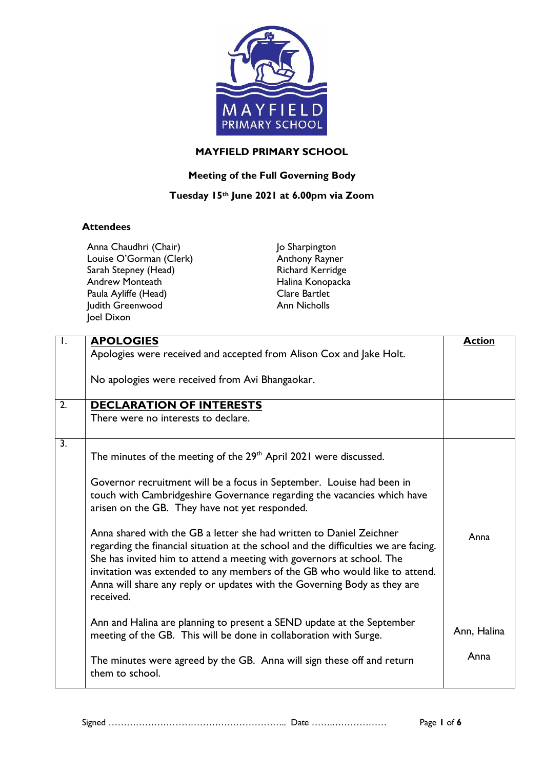

## **MAYFIELD PRIMARY SCHOOL**

## **Meeting of the Full Governing Body**

## **Tuesday 15th June 2021 at 6.00pm via Zoom**

## **Attendees**

| Anna Chaudhri (Chair)   |  |
|-------------------------|--|
| Louise O'Gorman (Clerk) |  |
| Sarah Stepney (Head)    |  |
| <b>Andrew Monteath</b>  |  |
| Paula Ayliffe (Head)    |  |
| Judith Greenwood        |  |
| Joel Dixon              |  |

Jo Sharpington Anthony Rayner Richard Kerridge Halina Konopacka Clare Bartlet Ann Nicholls

| $\overline{\phantom{a}}$ | <b>APOLOGIES</b>                                                                                                                                                                                                                                                                                                                                                                                           | <b>Action</b> |
|--------------------------|------------------------------------------------------------------------------------------------------------------------------------------------------------------------------------------------------------------------------------------------------------------------------------------------------------------------------------------------------------------------------------------------------------|---------------|
|                          | Apologies were received and accepted from Alison Cox and Jake Holt.                                                                                                                                                                                                                                                                                                                                        |               |
|                          | No apologies were received from Avi Bhangaokar.                                                                                                                                                                                                                                                                                                                                                            |               |
| 2.                       | <b>DECLARATION OF INTERESTS</b>                                                                                                                                                                                                                                                                                                                                                                            |               |
|                          | There were no interests to declare.                                                                                                                                                                                                                                                                                                                                                                        |               |
| $\overline{3}$ .         | The minutes of the meeting of the 29 <sup>th</sup> April 2021 were discussed.                                                                                                                                                                                                                                                                                                                              |               |
|                          | Governor recruitment will be a focus in September. Louise had been in<br>touch with Cambridgeshire Governance regarding the vacancies which have<br>arisen on the GB. They have not yet responded.                                                                                                                                                                                                         |               |
|                          | Anna shared with the GB a letter she had written to Daniel Zeichner<br>regarding the financial situation at the school and the difficulties we are facing.<br>She has invited him to attend a meeting with governors at school. The<br>invitation was extended to any members of the GB who would like to attend.<br>Anna will share any reply or updates with the Governing Body as they are<br>received. | Anna          |
|                          | Ann and Halina are planning to present a SEND update at the September<br>meeting of the GB. This will be done in collaboration with Surge.                                                                                                                                                                                                                                                                 | Ann, Halina   |
|                          | The minutes were agreed by the GB. Anna will sign these off and return<br>them to school.                                                                                                                                                                                                                                                                                                                  | Anna          |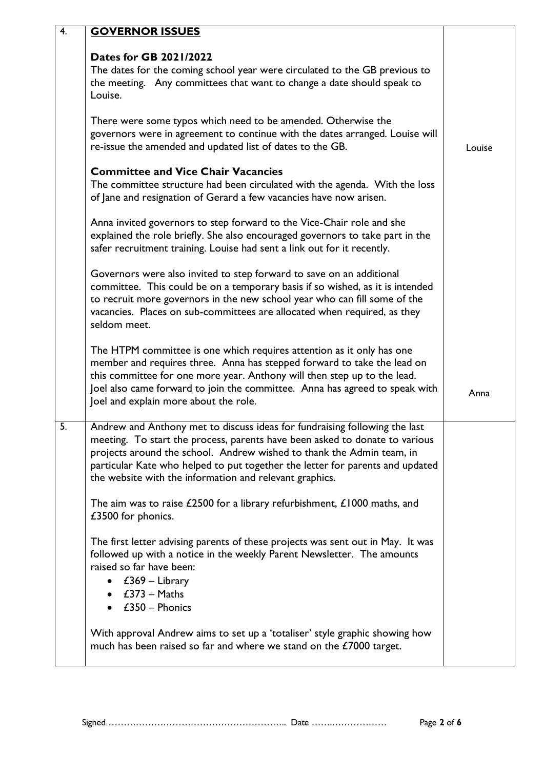| 4. | <b>GOVERNOR ISSUES</b>                                                                                                                                                                                                                                                                                                                                                         |        |
|----|--------------------------------------------------------------------------------------------------------------------------------------------------------------------------------------------------------------------------------------------------------------------------------------------------------------------------------------------------------------------------------|--------|
|    | Dates for GB 2021/2022<br>The dates for the coming school year were circulated to the GB previous to<br>the meeting. Any committees that want to change a date should speak to<br>Louise.                                                                                                                                                                                      |        |
|    | There were some typos which need to be amended. Otherwise the<br>governors were in agreement to continue with the dates arranged. Louise will<br>re-issue the amended and updated list of dates to the GB.                                                                                                                                                                     | Louise |
|    | <b>Committee and Vice Chair Vacancies</b><br>The committee structure had been circulated with the agenda. With the loss<br>of Jane and resignation of Gerard a few vacancies have now arisen.                                                                                                                                                                                  |        |
|    | Anna invited governors to step forward to the Vice-Chair role and she<br>explained the role briefly. She also encouraged governors to take part in the<br>safer recruitment training. Louise had sent a link out for it recently.                                                                                                                                              |        |
|    | Governors were also invited to step forward to save on an additional<br>committee. This could be on a temporary basis if so wished, as it is intended<br>to recruit more governors in the new school year who can fill some of the<br>vacancies. Places on sub-committees are allocated when required, as they<br>seldom meet.                                                 |        |
|    | The HTPM committee is one which requires attention as it only has one<br>member and requires three. Anna has stepped forward to take the lead on<br>this committee for one more year. Anthony will then step up to the lead.<br>Joel also came forward to join the committee. Anna has agreed to speak with<br>Joel and explain more about the role.                           | Anna   |
| 5. | Andrew and Anthony met to discuss ideas for fundraising following the last<br>meeting. To start the process, parents have been asked to donate to various<br>projects around the school. Andrew wished to thank the Admin team, in<br>particular Kate who helped to put together the letter for parents and updated<br>the website with the information and relevant graphics. |        |
|    | The aim was to raise $£2500$ for a library refurbishment, $£1000$ maths, and<br>£3500 for phonics.                                                                                                                                                                                                                                                                             |        |
|    | The first letter advising parents of these projects was sent out in May. It was<br>followed up with a notice in the weekly Parent Newsletter. The amounts<br>raised so far have been:<br>• $£369 - Library$<br>$\bullet$ £373 – Maths<br>$\bullet$ £350 – Phonics                                                                                                              |        |
|    | With approval Andrew aims to set up a 'totaliser' style graphic showing how<br>much has been raised so far and where we stand on the £7000 target.                                                                                                                                                                                                                             |        |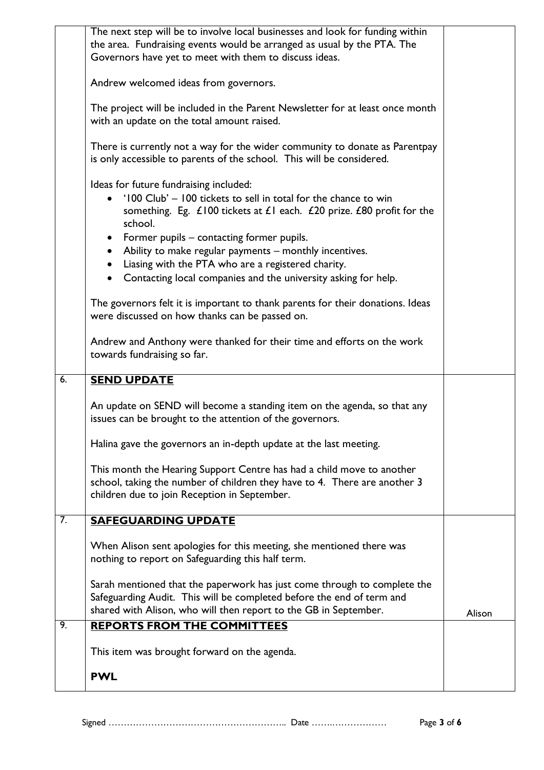|    | The next step will be to involve local businesses and look for funding within                         |        |
|----|-------------------------------------------------------------------------------------------------------|--------|
|    | the area. Fundraising events would be arranged as usual by the PTA. The                               |        |
|    | Governors have yet to meet with them to discuss ideas.                                                |        |
|    |                                                                                                       |        |
|    | Andrew welcomed ideas from governors.                                                                 |        |
|    |                                                                                                       |        |
|    | The project will be included in the Parent Newsletter for at least once month                         |        |
|    | with an update on the total amount raised.                                                            |        |
|    |                                                                                                       |        |
|    | There is currently not a way for the wider community to donate as Parentpay                           |        |
|    | is only accessible to parents of the school. This will be considered.                                 |        |
|    |                                                                                                       |        |
|    | Ideas for future fundraising included:                                                                |        |
|    | '100 Club' - 100 tickets to sell in total for the chance to win                                       |        |
|    | something. Eg. $\angle$ 100 tickets at $\angle$ 1 each. $\angle$ 20 prize. $\angle$ 80 profit for the |        |
|    | school.                                                                                               |        |
|    | • Former pupils – contacting former pupils.                                                           |        |
|    | • Ability to make regular payments - monthly incentives.                                              |        |
|    | • Liasing with the PTA who are a registered charity.                                                  |        |
|    | Contacting local companies and the university asking for help.                                        |        |
|    |                                                                                                       |        |
|    | The governors felt it is important to thank parents for their donations. Ideas                        |        |
|    | were discussed on how thanks can be passed on.                                                        |        |
|    |                                                                                                       |        |
|    | Andrew and Anthony were thanked for their time and efforts on the work                                |        |
|    | towards fundraising so far.                                                                           |        |
|    |                                                                                                       |        |
| 6. | <b>SEND UPDATE</b>                                                                                    |        |
|    |                                                                                                       |        |
|    | An update on SEND will become a standing item on the agenda, so that any                              |        |
|    | issues can be brought to the attention of the governors.                                              |        |
|    |                                                                                                       |        |
|    | Halina gave the governors an in-depth update at the last meeting.                                     |        |
|    |                                                                                                       |        |
|    | This month the Hearing Support Centre has had a child move to another                                 |        |
|    | school, taking the number of children they have to 4. There are another 3                             |        |
|    | children due to join Reception in September.                                                          |        |
|    |                                                                                                       |        |
| 7. | <b>SAFEGUARDING UPDATE</b>                                                                            |        |
|    |                                                                                                       |        |
|    | When Alison sent apologies for this meeting, she mentioned there was                                  |        |
|    | nothing to report on Safeguarding this half term.                                                     |        |
|    |                                                                                                       |        |
|    | Sarah mentioned that the paperwork has just come through to complete the                              |        |
|    | Safeguarding Audit. This will be completed before the end of term and                                 |        |
|    | shared with Alison, who will then report to the GB in September.                                      | Alison |
| 9. | <b>REPORTS FROM THE COMMITTEES</b>                                                                    |        |
|    |                                                                                                       |        |
|    | This item was brought forward on the agenda.                                                          |        |
|    |                                                                                                       |        |
|    | <b>PWL</b>                                                                                            |        |
|    |                                                                                                       |        |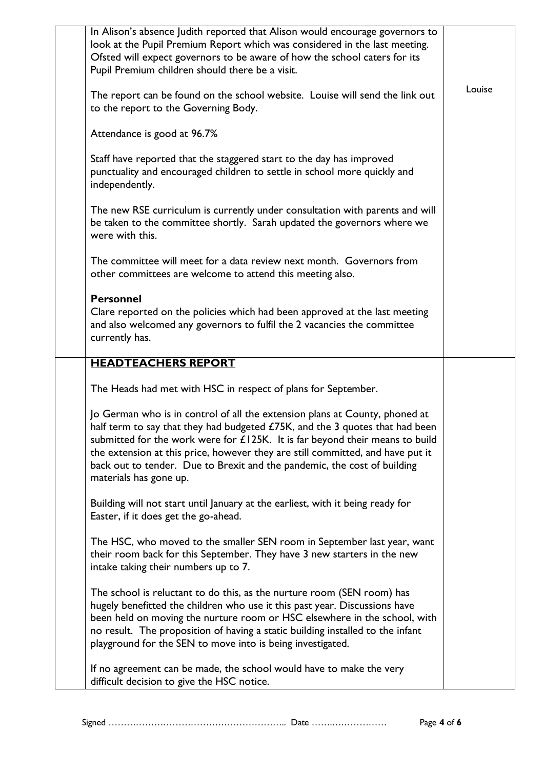| In Alison's absence Judith reported that Alison would encourage governors to<br>look at the Pupil Premium Report which was considered in the last meeting.<br>Ofsted will expect governors to be aware of how the school caters for its<br>Pupil Premium children should there be a visit.<br>The report can be found on the school website. Louise will send the link out<br>to the report to the Governing Body.<br>Attendance is good at 96.7%<br>Staff have reported that the staggered start to the day has improved<br>punctuality and encouraged children to settle in school more quickly and<br>independently.<br>The new RSE curriculum is currently under consultation with parents and will | Louise |
|---------------------------------------------------------------------------------------------------------------------------------------------------------------------------------------------------------------------------------------------------------------------------------------------------------------------------------------------------------------------------------------------------------------------------------------------------------------------------------------------------------------------------------------------------------------------------------------------------------------------------------------------------------------------------------------------------------|--------|
| be taken to the committee shortly. Sarah updated the governors where we<br>were with this.                                                                                                                                                                                                                                                                                                                                                                                                                                                                                                                                                                                                              |        |
| The committee will meet for a data review next month. Governors from<br>other committees are welcome to attend this meeting also.<br><b>Personnel</b>                                                                                                                                                                                                                                                                                                                                                                                                                                                                                                                                                   |        |
| Clare reported on the policies which had been approved at the last meeting<br>and also welcomed any governors to fulfil the 2 vacancies the committee<br>currently has.                                                                                                                                                                                                                                                                                                                                                                                                                                                                                                                                 |        |
| <b>HEADTEACHERS REPORT</b>                                                                                                                                                                                                                                                                                                                                                                                                                                                                                                                                                                                                                                                                              |        |
| The Heads had met with HSC in respect of plans for September.                                                                                                                                                                                                                                                                                                                                                                                                                                                                                                                                                                                                                                           |        |
| Jo German who is in control of all the extension plans at County, phoned at<br>half term to say that they had budgeted £75K, and the 3 quotes that had been<br>submitted for the work were for £125K. It is far beyond their means to build<br>the extension at this price, however they are still committed, and have put it<br>back out to tender. Due to Brexit and the pandemic, the cost of building<br>materials has gone up.                                                                                                                                                                                                                                                                     |        |
| Building will not start until January at the earliest, with it being ready for<br>Easter, if it does get the go-ahead.                                                                                                                                                                                                                                                                                                                                                                                                                                                                                                                                                                                  |        |
| The HSC, who moved to the smaller SEN room in September last year, want<br>their room back for this September. They have 3 new starters in the new<br>intake taking their numbers up to 7.                                                                                                                                                                                                                                                                                                                                                                                                                                                                                                              |        |
| The school is reluctant to do this, as the nurture room (SEN room) has<br>hugely benefitted the children who use it this past year. Discussions have<br>been held on moving the nurture room or HSC elsewhere in the school, with<br>no result. The proposition of having a static building installed to the infant<br>playground for the SEN to move into is being investigated.                                                                                                                                                                                                                                                                                                                       |        |
| If no agreement can be made, the school would have to make the very<br>difficult decision to give the HSC notice.                                                                                                                                                                                                                                                                                                                                                                                                                                                                                                                                                                                       |        |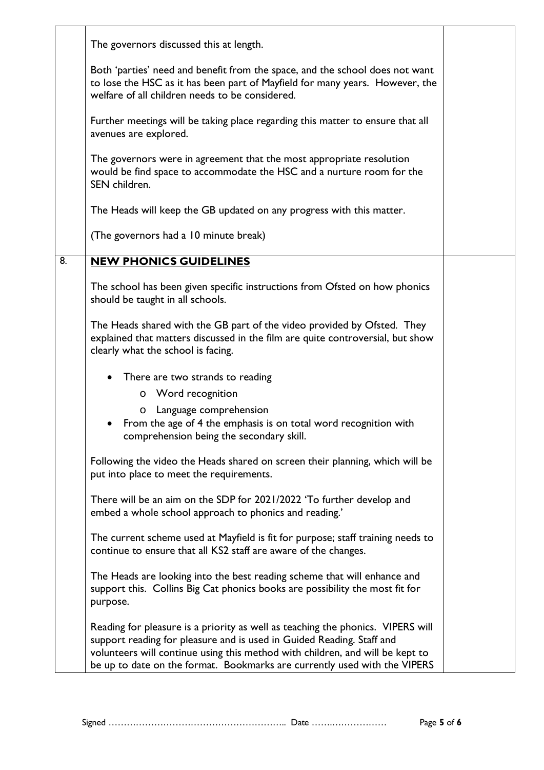|    | The governors discussed this at length.                                                                                                                                                                                                                                                                                |  |
|----|------------------------------------------------------------------------------------------------------------------------------------------------------------------------------------------------------------------------------------------------------------------------------------------------------------------------|--|
|    | Both 'parties' need and benefit from the space, and the school does not want<br>to lose the HSC as it has been part of Mayfield for many years. However, the<br>welfare of all children needs to be considered.                                                                                                        |  |
|    | Further meetings will be taking place regarding this matter to ensure that all<br>avenues are explored.                                                                                                                                                                                                                |  |
|    | The governors were in agreement that the most appropriate resolution<br>would be find space to accommodate the HSC and a nurture room for the<br>SEN children.                                                                                                                                                         |  |
|    | The Heads will keep the GB updated on any progress with this matter.                                                                                                                                                                                                                                                   |  |
|    | (The governors had a 10 minute break)                                                                                                                                                                                                                                                                                  |  |
| 8. | <b>NEW PHONICS GUIDELINES</b>                                                                                                                                                                                                                                                                                          |  |
|    | The school has been given specific instructions from Ofsted on how phonics<br>should be taught in all schools.                                                                                                                                                                                                         |  |
|    | The Heads shared with the GB part of the video provided by Ofsted. They<br>explained that matters discussed in the film are quite controversial, but show<br>clearly what the school is facing.                                                                                                                        |  |
|    | There are two strands to reading                                                                                                                                                                                                                                                                                       |  |
|    | Word recognition<br>$\mathbf{o}$                                                                                                                                                                                                                                                                                       |  |
|    | Language comprehension<br>o<br>From the age of 4 the emphasis is on total word recognition with<br>comprehension being the secondary skill.                                                                                                                                                                            |  |
|    | Following the video the Heads shared on screen their planning, which will be<br>put into place to meet the requirements.                                                                                                                                                                                               |  |
|    | There will be an aim on the SDP for 2021/2022 'To further develop and<br>embed a whole school approach to phonics and reading.'                                                                                                                                                                                        |  |
|    | The current scheme used at Mayfield is fit for purpose; staff training needs to<br>continue to ensure that all KS2 staff are aware of the changes.                                                                                                                                                                     |  |
|    | The Heads are looking into the best reading scheme that will enhance and<br>support this. Collins Big Cat phonics books are possibility the most fit for<br>purpose.                                                                                                                                                   |  |
|    | Reading for pleasure is a priority as well as teaching the phonics. VIPERS will<br>support reading for pleasure and is used in Guided Reading. Staff and<br>volunteers will continue using this method with children, and will be kept to<br>be up to date on the format. Bookmarks are currently used with the VIPERS |  |